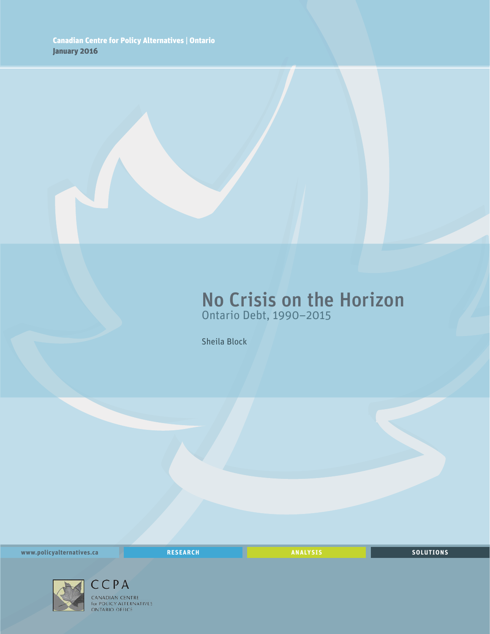## No Crisis on the Horizon Ontario Debt, 1990–2015

Sheila Block

**www.policyalternatives.ca** <mark>RESEARCH</mark> ANALYSIS SOLUTIONS



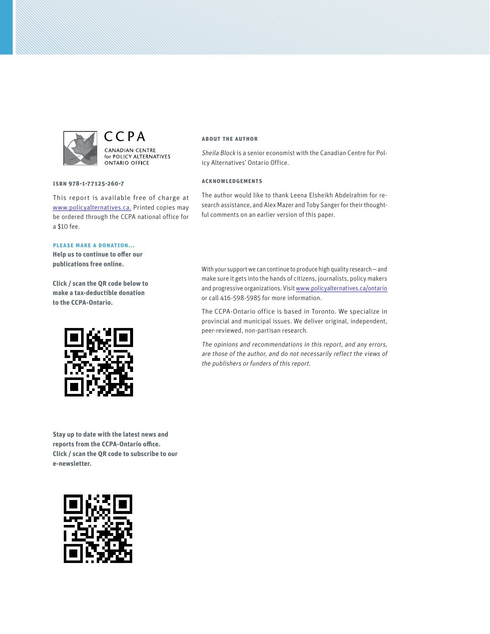

CCPA CANADIAN CENTRE for POLICY ALTERNATIVES **ONTARIO OFFICE** 

**ISBN 978-1-77125-260-7**

This report is available free of charge at www.policyalternatives.ca. Printed copies may be ordered through the CCPA national office for a \$10 fee.

#### **Please make a donation...**

**Help us to continue to offer our publications free online.**

**Click / scan the QR code below to make a tax-deductible donation to the CCPA-Ontario.**



**Stay up to date with the latest news and reports from the CCPA-Ontario office. Click / scan the QR code to subscribe to our e-newsletter.** 



#### **About the author**

Sheila Block is a senior economist with the Canadian Centre for Policy Alternatives' Ontario Office.

#### **Acknowledgements**

The author would like to thank Leena Elsheikh Abdelrahim for research assistance, and Alex Mazer and Toby Sanger for their thoughtful comments on an earlier version of this paper.

With your support we can continue to produce high quality research—and make sure it gets into the hands of citizens, journalists, policy makers and progressive organizations. Visit www.policyalternatives.ca/ontario or call 416-598-5985 for more information.

The CCPA-Ontario office is based in Toronto. We specialize in provincial and municipal issues. We deliver original, independent, peer-reviewed, non-partisan research.

The opinions and recommendations in this report, and any errors, are those of the author, and do not necessarily reflect the views of the publishers or funders of this report.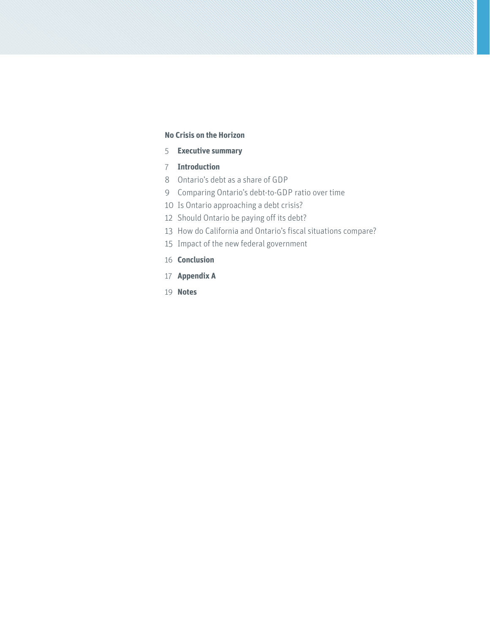#### **No Crisis on the Horizon**

- **Executive summary**
- **Introduction**
- Ontario's debt as a share of GDP
- Comparing Ontario's debt-to-GDP ratio over time
- Is Ontario approaching a debt crisis?
- Should Ontario be paying off its debt?
- How do California and Ontario's fiscal situations compare?
- Impact of the new federal government
- **Conclusion**
- **Appendix A**
- **Notes**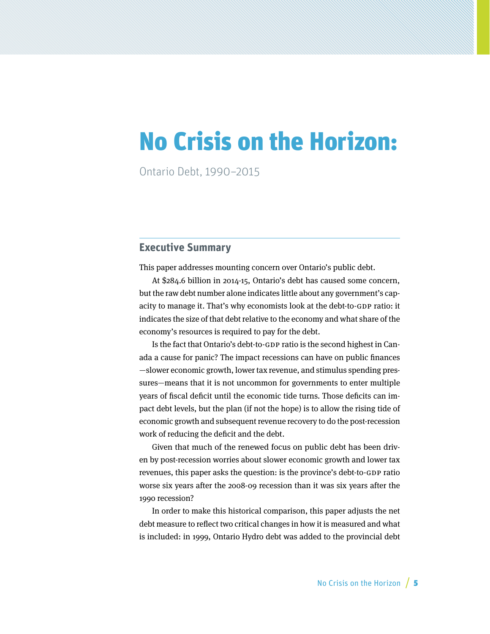# No Crisis on the Horizon:

Ontario Debt, 1990–2015

### **Executive Summary**

This paper addresses mounting concern over Ontario's public debt.

At \$284.6 billion in 2014-15, Ontario's debt has caused some concern, but the raw debt number alone indicates little about any government's capacity to manage it. That's why economists look at the debt-to-GDP ratio: it indicates the size of that debt relative to the economy and what share of the economy's resources is required to pay for the debt.

Is the fact that Ontario's debt-to-GDP ratio is the second highest in Canada a cause for panic? The impact recessions can have on public finances —slower economic growth, lower tax revenue, and stimulus spending pressures—means that it is not uncommon for governments to enter multiple years of fiscal deficit until the economic tide turns. Those deficits can impact debt levels, but the plan (if not the hope) is to allow the rising tide of economic growth and subsequent revenue recovery to do the post-recession work of reducing the deficit and the debt.

Given that much of the renewed focus on public debt has been driven by post-recession worries about slower economic growth and lower tax revenues, this paper asks the question: is the province's debt-to-GDP ratio worse six years after the 2008-09 recession than it was six years after the 1990 recession?

In order to make this historical comparison, this paper adjusts the net debt measure to reflect two critical changes in how it is measured and what is included: in 1999, Ontario Hydro debt was added to the provincial debt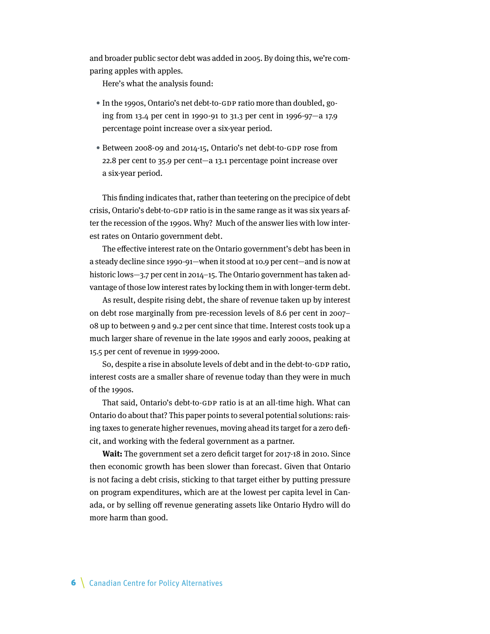and broader public sector debt was added in 2005. By doing this, we're comparing apples with apples.

Here's what the analysis found:

- In the 1990s, Ontario's net debt-to-GDP ratio more than doubled, going from 13.4 per cent in 1990-91 to 31.3 per cent in 1996-97—a 17.9 percentage point increase over a six-year period.
- Between 2008-09 and 2014-15, Ontario's net debt-to-GDP rose from 22.8 per cent to 35.9 per cent—a 13.1 percentage point increase over a six-year period.

This finding indicates that, rather than teetering on the precipice of debt crisis, Ontario's debt-to-GDP ratio is in the same range as it was six years after the recession of the 1990s. Why? Much of the answer lies with low interest rates on Ontario government debt.

The effective interest rate on the Ontario government's debt has been in a steady decline since 1990-91—when it stood at 10.9 per cent—and is now at historic lows-3.7 per cent in 2014-15. The Ontario government has taken advantage of those low interest rates by locking them in with longer-term debt.

As result, despite rising debt, the share of revenue taken up by interest on debt rose marginally from pre-recession levels of 8.6 per cent in 2007– 08 up to between 9 and 9.2 per cent since that time. Interest costs took up a much larger share of revenue in the late 1990s and early 2000s, peaking at 15.5 per cent of revenue in 1999-2000.

So, despite a rise in absolute levels of debt and in the debt-to-GDP ratio, interest costs are a smaller share of revenue today than they were in much of the 1990s.

That said, Ontario's debt-to-GDP ratio is at an all-time high. What can Ontario do about that? This paper points to several potential solutions: raising taxes to generate higher revenues, moving ahead its target for a zero deficit, and working with the federal government as a partner.

**Wait:** The government set a zero deficit target for 2017-18 in 2010. Since then economic growth has been slower than forecast. Given that Ontario is not facing a debt crisis, sticking to that target either by putting pressure on program expenditures, which are at the lowest per capita level in Canada, or by selling off revenue generating assets like Ontario Hydro will do more harm than good.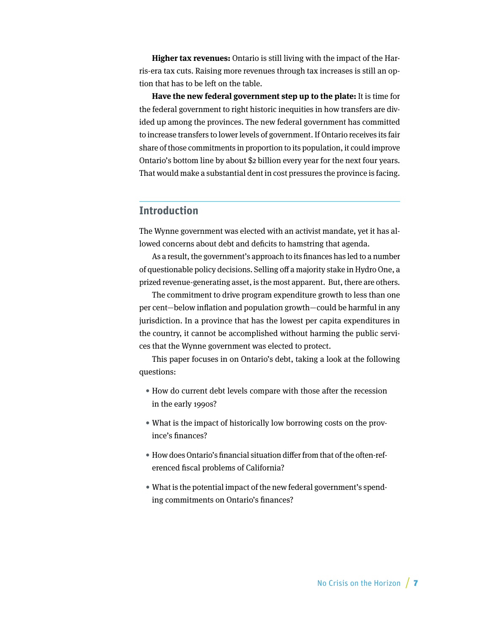**Higher tax revenues:** Ontario is still living with the impact of the Harris-era tax cuts. Raising more revenues through tax increases is still an option that has to be left on the table.

**Have the new federal government step up to the plate:** It is time for the federal government to right historic inequities in how transfers are divided up among the provinces. The new federal government has committed to increase transfers to lower levels of government. If Ontario receives its fair share of those commitments in proportion to its population, it could improve Ontario's bottom line by about \$2 billion every year for the next four years. That would make a substantial dent in cost pressures the province is facing.

### **Introduction**

The Wynne government was elected with an activist mandate, yet it has allowed concerns about debt and deficits to hamstring that agenda.

As a result, the government's approach to its finances has led to a number of questionable policy decisions. Selling off a majority stake in Hydro One, a prized revenue-generating asset, is the most apparent. But, there are others.

The commitment to drive program expenditure growth to less than one per cent—below inflation and population growth—could be harmful in any jurisdiction. In a province that has the lowest per capita expenditures in the country, it cannot be accomplished without harming the public services that the Wynne government was elected to protect.

This paper focuses in on Ontario's debt, taking a look at the following questions:

- How do current debt levels compare with those after the recession in the early 1990s?
- What is the impact of historically low borrowing costs on the province's finances?
- How does Ontario's financial situation differ from that of the often-referenced fiscal problems of California?
- What is the potential impact of the new federal government's spending commitments on Ontario's finances?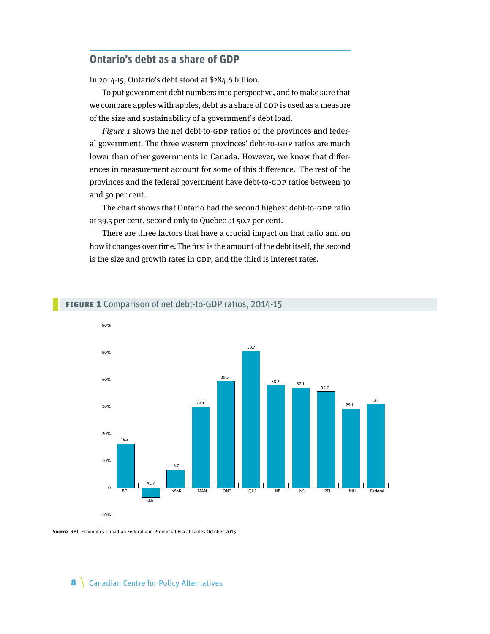## **Ontario's debt as a share of GDP**

In 2014-15, Ontario's debt stood at \$284.6 billion.

To put government debt numbers into perspective, and to make sure that we compare apples with apples, debt as a share of GDP is used as a measure of the size and sustainability of a government's debt load.

Figure 1 shows the net debt-to-GDP ratios of the provinces and federal government. The three western provinces' debt-to-GDP ratios are much lower than other governments in Canada. However, we know that differences in measurement account for some of this difference.<sup>1</sup> The rest of the provinces and the federal government have debt-to-GDP ratios between 30 and 50 per cent.

The chart shows that Ontario had the second highest debt-to-GDP ratio at 39.5 per cent, second only to Quebec at 50.7 per cent.

There are three factors that have a crucial impact on that ratio and on how it changes over time. The first is the amount of the debt itself, the second is the size and growth rates in GDP, and the third is interest rates.



#### **Figure 1** Comparison of net debt-to-GDP ratios, 2014-15

**Source** RBC Economics Canadian Federal and Provincial Fiscal Tables October 2015.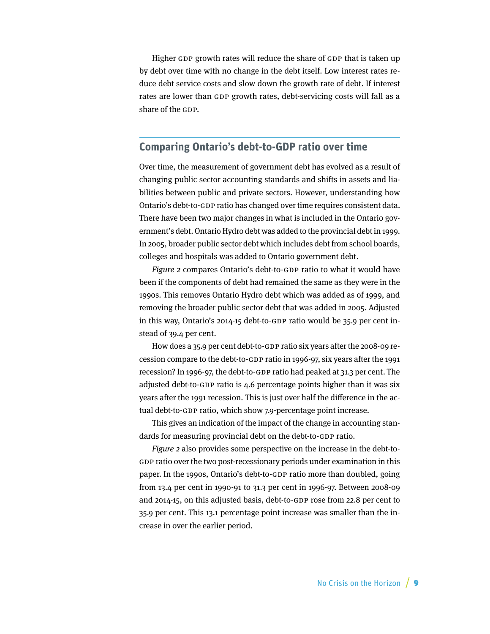Higher GDP growth rates will reduce the share of GDP that is taken up by debt over time with no change in the debt itself. Low interest rates reduce debt service costs and slow down the growth rate of debt. If interest rates are lower than GDP growth rates, debt-servicing costs will fall as a share of the GDP.

## **Comparing Ontario's debt-to-GDP ratio over time**

Over time, the measurement of government debt has evolved as a result of changing public sector accounting standards and shifts in assets and liabilities between public and private sectors. However, understanding how Ontario's debt-to-GDP ratio has changed over time requires consistent data. There have been two major changes in what is included in the Ontario government's debt. Ontario Hydro debt was added to the provincial debt in 1999. In 2005, broader public sector debt which includes debt from school boards, colleges and hospitals was added to Ontario government debt.

Figure 2 compares Ontario's debt-to-GDP ratio to what it would have been if the components of debt had remained the same as they were in the 1990s. This removes Ontario Hydro debt which was added as of 1999, and removing the broader public sector debt that was added in 2005. Adjusted in this way, Ontario's 2014-15 debt-to-GDP ratio would be 35.9 per cent instead of 39.4 per cent.

How does a 35.9 per cent debt-to-GDP ratio six years after the 2008-09 recession compare to the debt-to-GDP ratio in 1996-97, six years after the 1991 recession? In 1996-97, the debt-to-GDP ratio had peaked at 31.3 per cent. The adjusted debt-to-GDP ratio is 4.6 percentage points higher than it was six years after the 1991 recession. This is just over half the difference in the actual debt-to-GDP ratio, which show 7.9-percentage point increase.

This gives an indication of the impact of the change in accounting standards for measuring provincial debt on the debt-to-GDP ratio.

Figure 2 also provides some perspective on the increase in the debt-to-GDP ratio over the two post-recessionary periods under examination in this paper. In the 1990s, Ontario's debt-to-GDP ratio more than doubled, going from 13.4 per cent in 1990-91 to 31.3 per cent in 1996-97. Between 2008-09 and 2014-15, on this adjusted basis, debt-to-GDP rose from 22.8 per cent to 35.9 per cent. This 13.1 percentage point increase was smaller than the increase in over the earlier period.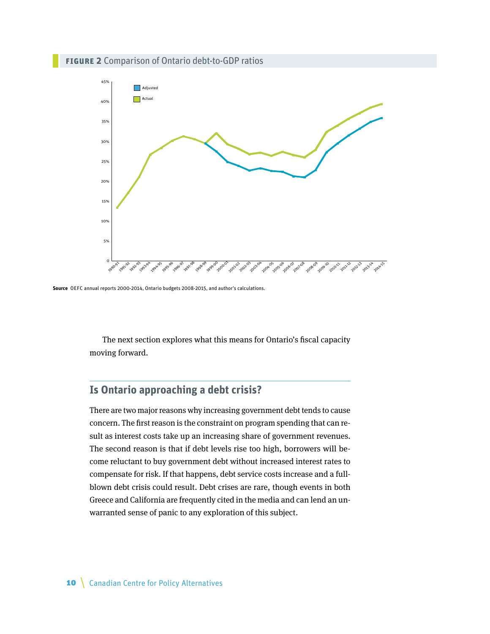#### **Figure 2** Comparison of Ontario debt-to-GDP ratios



**Source** OEFC annual reports 2000-2014, Ontario budgets 2008-2015, and author's calculations.

The next section explores what this means for Ontario's fiscal capacity moving forward.

## **Is Ontario approaching a debt crisis?**

There are two major reasons why increasing government debt tends to cause concern. The first reason is the constraint on program spending that can result as interest costs take up an increasing share of government revenues. The second reason is that if debt levels rise too high, borrowers will become reluctant to buy government debt without increased interest rates to compensate for risk. If that happens, debt service costs increase and a fullblown debt crisis could result. Debt crises are rare, though events in both Greece and California are frequently cited in the media and can lend an unwarranted sense of panic to any exploration of this subject.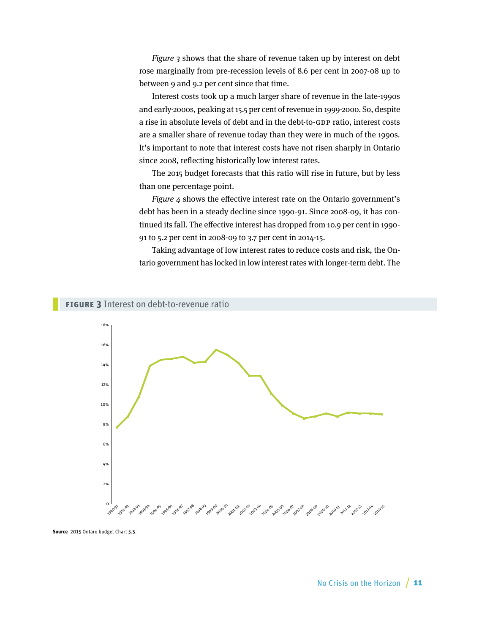Figure 3 shows that the share of revenue taken up by interest on debt rose marginally from pre-recession levels of 8.6 per cent in 2007-08 up to between 9 and 9.2 per cent since that time.

Interest costs took up a much larger share of revenue in the late-1990s and early-2000s, peaking at 15.5 per cent of revenue in 1999-2000. So, despite a rise in absolute levels of debt and in the debt-to-GDP ratio, interest costs are a smaller share of revenue today than they were in much of the 1990s. It's important to note that interest costs have not risen sharply in Ontario since 2008, reflecting historically low interest rates.

The 2015 budget forecasts that this ratio will rise in future, but by less than one percentage point.

Figure 4 shows the effective interest rate on the Ontario government's debt has been in a steady decline since 1990-91. Since 2008-09, it has continued its fall. The effective interest has dropped from 10.9 per cent in 1990- 91 to 5.2 per cent in 2008-09 to 3.7 per cent in 2014-15.

Taking advantage of low interest rates to reduce costs and risk, the Ontario government has locked in low interest rates with longer-term debt. The





**Source** 2015 Ontaro budget Chart 5.5.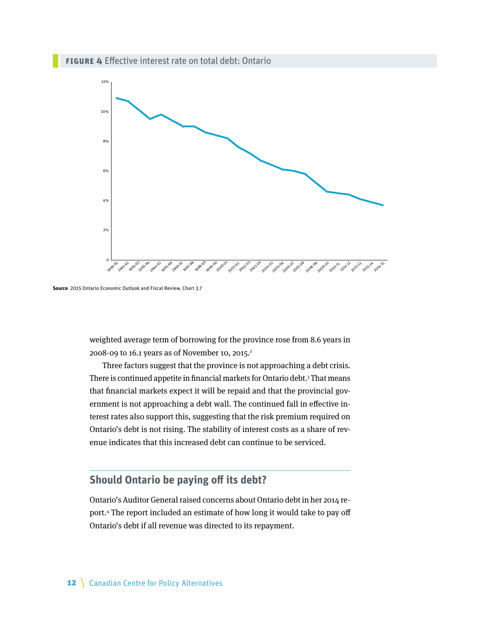

**Source** 2015 Ontario Economic Outlook and Fiscal Review, Chart 3.7

weighted average term of borrowing for the province rose from 8.6 years in 2008-09 to 16.1 years as of November 10, 2015.<sup>2</sup>

Three factors suggest that the province is not approaching a debt crisis. There is continued appetite in financial markets for Ontario debt. $3$  That means that financial markets expect it will be repaid and that the provincial government is not approaching a debt wall. The continued fall in effective interest rates also support this, suggesting that the risk premium required on Ontario's debt is not rising. The stability of interest costs as a share of revenue indicates that this increased debt can continue to be serviced.

## **Should Ontario be paying off its debt?**

Ontario's Auditor General raised concerns about Ontario debt in her 2014 report.4 The report included an estimate of how long it would take to pay off Ontario's debt if all revenue was directed to its repayment.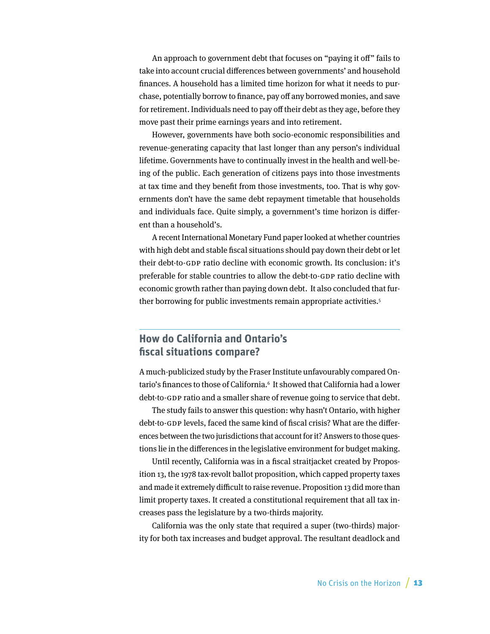An approach to government debt that focuses on "paying it off" fails to take into account crucial differences between governments' and household finances. A household has a limited time horizon for what it needs to purchase, potentially borrow to finance, pay off any borrowed monies, and save for retirement. Individuals need to pay off their debt as they age, before they move past their prime earnings years and into retirement.

However, governments have both socio-economic responsibilities and revenue-generating capacity that last longer than any person's individual lifetime. Governments have to continually invest in the health and well-being of the public. Each generation of citizens pays into those investments at tax time and they benefit from those investments, too. That is why governments don't have the same debt repayment timetable that households and individuals face. Quite simply, a government's time horizon is different than a household's.

A recent International Monetary Fund paper looked at whether countries with high debt and stable fiscal situations should pay down their debt or let their debt-to-GDP ratio decline with economic growth. Its conclusion: it's preferable for stable countries to allow the debt-to-GDP ratio decline with economic growth rather than paying down debt. It also concluded that further borrowing for public investments remain appropriate activities.<sup>5</sup>

## **How do California and Ontario's fiscal situations compare?**

A much-publicized study by the Fraser Institute unfavourably compared Ontario's finances to those of California.<sup>6</sup> It showed that California had a lower debt-to-GDP ratio and a smaller share of revenue going to service that debt.

The study fails to answer this question: why hasn't Ontario, with higher debt-to-GDP levels, faced the same kind of fiscal crisis? What are the differences between the two jurisdictions that account for it? Answers to those questions lie in the differences in the legislative environment for budget making.

Until recently, California was in a fiscal straitjacket created by Proposition 13, the 1978 tax-revolt ballot proposition, which capped property taxes and made it extremely difficult to raise revenue. Proposition 13 did more than limit property taxes. It created a constitutional requirement that all tax increases pass the legislature by a two-thirds majority.

California was the only state that required a super (two-thirds) majority for both tax increases and budget approval. The resultant deadlock and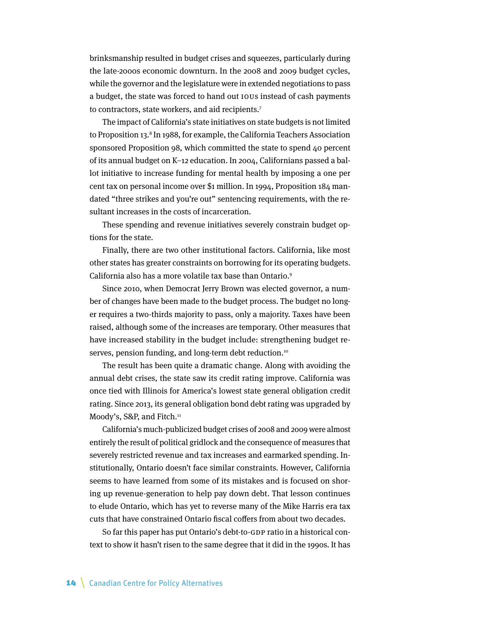brinksmanship resulted in budget crises and squeezes, particularly during the late-2000s economic downturn. In the 2008 and 2009 budget cycles, while the governor and the legislature were in extended negotiations to pass a budget, the state was forced to hand out IOUs instead of cash payments to contractors, state workers, and aid recipients.<sup>7</sup>

The impact of California's state initiatives on state budgets is not limited to Proposition 13.<sup>8</sup> In 1988, for example, the California Teachers Association sponsored Proposition 98, which committed the state to spend 40 percent of its annual budget on K–12 education. In 2004, Californians passed a ballot initiative to increase funding for mental health by imposing a one per cent tax on personal income over \$1 million. In 1994, Proposition 184 mandated "three strikes and you're out" sentencing requirements, with the resultant increases in the costs of incarceration.

These spending and revenue initiatives severely constrain budget options for the state.

Finally, there are two other institutional factors. California, like most other states has greater constraints on borrowing for its operating budgets. California also has a more volatile tax base than Ontario.9

Since 2010, when Democrat Jerry Brown was elected governor, a number of changes have been made to the budget process. The budget no longer requires a two-thirds majority to pass, only a majority. Taxes have been raised, although some of the increases are temporary. Other measures that have increased stability in the budget include: strengthening budget reserves, pension funding, and long-term debt reduction.<sup>10</sup>

The result has been quite a dramatic change. Along with avoiding the annual debt crises, the state saw its credit rating improve. California was once tied with Illinois for America's lowest state general obligation credit rating. Since 2013, its general obligation bond debt rating was upgraded by Moody's, S&P, and Fitch.<sup>11</sup>

California's much-publicized budget crises of 2008 and 2009 were almost entirely the result of political gridlock and the consequence of measures that severely restricted revenue and tax increases and earmarked spending. Institutionally, Ontario doesn't face similar constraints. However, California seems to have learned from some of its mistakes and is focused on shoring up revenue-generation to help pay down debt. That lesson continues to elude Ontario, which has yet to reverse many of the Mike Harris era tax cuts that have constrained Ontario fiscal coffers from about two decades.

So far this paper has put Ontario's debt-to-GDP ratio in a historical context to show it hasn't risen to the same degree that it did in the 1990s. It has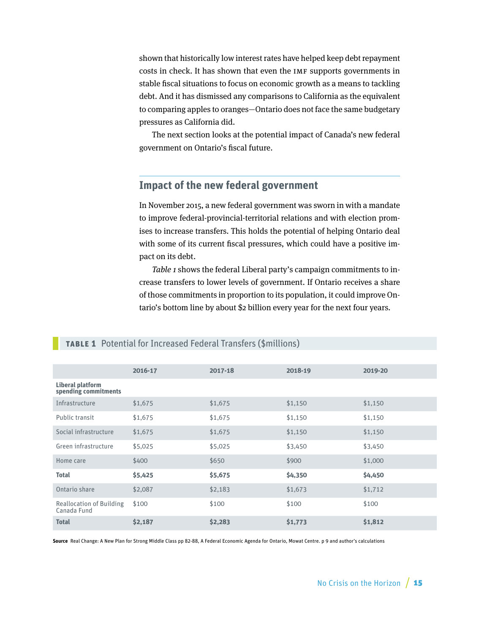shown that historically low interest rates have helped keep debt repayment costs in check. It has shown that even the IMF supports governments in stable fiscal situations to focus on economic growth as a means to tackling debt. And it has dismissed any comparisons to California as the equivalent to comparing apples to oranges—Ontario does not face the same budgetary pressures as California did.

The next section looks at the potential impact of Canada's new federal government on Ontario's fiscal future.

## **Impact of the new federal government**

In November 2015, a new federal government was sworn in with a mandate to improve federal-provincial-territorial relations and with election promises to increase transfers. This holds the potential of helping Ontario deal with some of its current fiscal pressures, which could have a positive impact on its debt.

Table 1 shows the federal Liberal party's campaign commitments to increase transfers to lower levels of government. If Ontario receives a share of those commitments in proportion to its population, it could improve Ontario's bottom line by about \$2 billion every year for the next four years.

|                                                 | 2016-17 | 2017-18 | 2018-19 | 2019-20 |
|-------------------------------------------------|---------|---------|---------|---------|
| <b>Liberal platform</b><br>spending commitments |         |         |         |         |
| Infrastructure                                  | \$1,675 | \$1,675 | \$1,150 | \$1,150 |
| Public transit                                  | \$1,675 | \$1,675 | \$1,150 | \$1,150 |
| Social infrastructure                           | \$1,675 | \$1,675 | \$1,150 | \$1,150 |
| Green infrastructure                            | \$5,025 | \$5,025 | \$3,450 | \$3,450 |
| Home care                                       | \$400   | \$650   | \$900   | \$1,000 |
| <b>Total</b>                                    | \$5,425 | \$5,675 | \$4,350 | \$4,450 |
| Ontario share                                   | \$2,087 | \$2,183 | \$1,673 | \$1,712 |
| <b>Reallocation of Building</b><br>Canada Fund  | \$100   | \$100   | \$100   | \$100   |
| <b>Total</b>                                    | \$2,187 | \$2,283 | \$1,773 | \$1,812 |

#### **TABLE 1** Potential for Increased Federal Transfers (\$millions)

**Source** Real Change: A New Plan for Strong Middle Class pp 82-88, A Federal Economic Agenda for Ontario, Mowat Centre. p 9 and author's calculations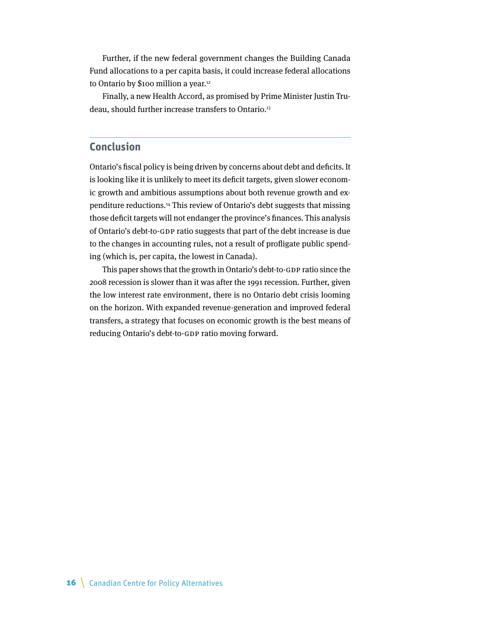Further, if the new federal government changes the Building Canada Fund allocations to a per capita basis, it could increase federal allocations to Ontario by \$100 million a year.<sup>12</sup>

Finally, a new Health Accord, as promised by Prime Minister Justin Trudeau, should further increase transfers to Ontario.<sup>13</sup>

## **Conclusion**

Ontario's fiscal policy is being driven by concerns about debt and deficits. It is looking like it is unlikely to meet its deficit targets, given slower economic growth and ambitious assumptions about both revenue growth and expenditure reductions.14 This review of Ontario's debt suggests that missing those deficit targets will not endanger the province's finances. This analysis of Ontario's debt-to-GDP ratio suggests that part of the debt increase is due to the changes in accounting rules, not a result of profligate public spending (which is, per capita, the lowest in Canada).

This paper shows that the growth in Ontario's debt-to-GDP ratio since the 2008 recession is slower than it was after the 1991 recession. Further, given the low interest rate environment, there is no Ontario debt crisis looming on the horizon. With expanded revenue-generation and improved federal transfers, a strategy that focuses on economic growth is the best means of reducing Ontario's debt-to-GDP ratio moving forward.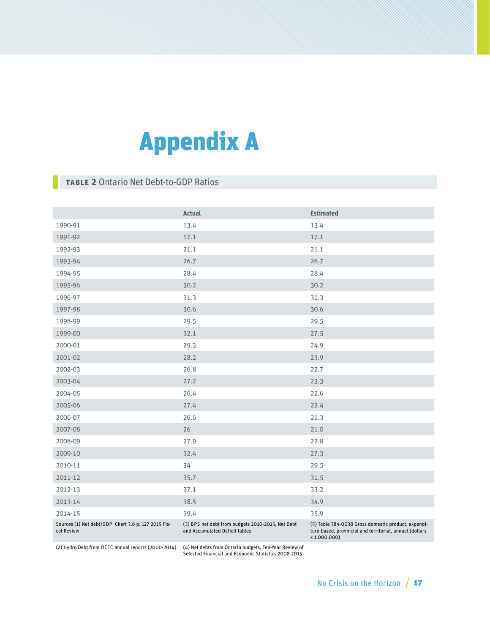# Appendix A

## **TABLE 2** Ontario Net Debt-to-GDP Ratios

|                                                                   | <b>Actual</b>                                                                       | <b>Estimated</b>                                                                                                               |
|-------------------------------------------------------------------|-------------------------------------------------------------------------------------|--------------------------------------------------------------------------------------------------------------------------------|
| 1990-91                                                           | 13.4                                                                                | 13.4                                                                                                                           |
| 1991-92                                                           | 17.1                                                                                | 17.1                                                                                                                           |
| 1992-93                                                           | 21.1                                                                                | 21.1                                                                                                                           |
| 1993-94                                                           | 26.7                                                                                | 26.7                                                                                                                           |
| 1994-95                                                           | 28.4                                                                                | 28.4                                                                                                                           |
| 1995-96                                                           | 30.2                                                                                | 30.2                                                                                                                           |
| 1996-97                                                           | 31.3                                                                                | 31.3                                                                                                                           |
| 1997-98                                                           | 30.6                                                                                | 30.6                                                                                                                           |
| 1998-99                                                           | 29.5                                                                                | 29.5                                                                                                                           |
| 1999-00                                                           | 32.1                                                                                | 27.5                                                                                                                           |
| 2000-01                                                           | 29.3                                                                                | 24.9                                                                                                                           |
| 2001-02                                                           | 28.2                                                                                | 23.9                                                                                                                           |
| 2002-03                                                           | 26.8                                                                                | 22.7                                                                                                                           |
| 2003-04                                                           | 27.2                                                                                | 23.3                                                                                                                           |
| 2004-05                                                           | 26.4                                                                                | 22.6                                                                                                                           |
| 2005-06                                                           | 27.4                                                                                | 22.4                                                                                                                           |
| 2006-07                                                           | 26.6                                                                                | 21.3                                                                                                                           |
| 2007-08                                                           | 26                                                                                  | 21.0                                                                                                                           |
| 2008-09                                                           | 27.9                                                                                | 22.8                                                                                                                           |
| 2009-10                                                           | 32.4                                                                                | 27.3                                                                                                                           |
| 2010-11                                                           | 34                                                                                  | 29.5                                                                                                                           |
| 2011-12                                                           | 35.7                                                                                | 31.5                                                                                                                           |
| 2012-13                                                           | 37.1                                                                                | 33.2                                                                                                                           |
| 2013-14                                                           | 38.5                                                                                | 34.9                                                                                                                           |
| 2014-15                                                           | 39.4                                                                                | 35.9                                                                                                                           |
| Sources (1) Net debt/GDP Chart 3.6 p. 127 2015 Fis-<br>cal Review | (3) BPS net debt from budgets 2010-2015, Net Debt<br>and Accumulated Deficit tables | (5) Table 384-0038 Gross domestic product, expendi-<br>ture-based, provincial and territorial, annual (dollars<br>x 1,000,000) |

(2) Hydro Debt from OEFC annual reports (2000-2014) (4) Net debts from Ontario budgets, Ten-Year Review of

Selected Financial and Economic Statistics 2008-2015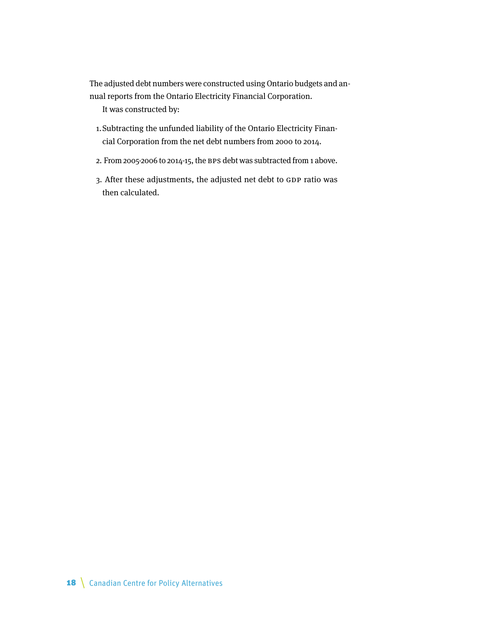The adjusted debt numbers were constructed using Ontario budgets and annual reports from the Ontario Electricity Financial Corporation.

It was constructed by:

- 1.Subtracting the unfunded liability of the Ontario Electricity Financial Corporation from the net debt numbers from 2000 to 2014.
- 2. From 2005-2006 to 2014-15, the BPS debt was subtracted from 1 above.
- 3. After these adjustments, the adjusted net debt to GDP ratio was then calculated.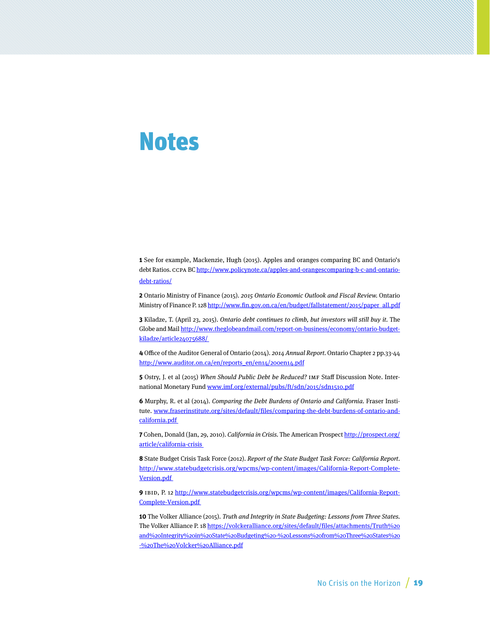## Notes

**1** See for example, Mackenzie, Hugh (2015). Apples and oranges comparing BC and Ontario's debt Ratios. CCPA BC [http://www.policynote.ca/apples-and-orangescomparing-b-c-and-ontario](http://www.policynote.ca/apples-and-oranges-comparing-b-c-and-ontario-debt-ratios/)[debt-ratios/](http://www.policynote.ca/apples-and-oranges-comparing-b-c-and-ontario-debt-ratios/)

**2** Ontario Ministry of Finance (2015). 2015 Ontario Economic Outlook and Fiscal Review. Ontario Ministry of Finance P. 128 http://www.fin.gov.on.ca/en/budget/fallstatement/2015/paper\_all.pdf

**3** Kiladze, T. (April 23, 2015). Ontario debt continues to climb, but investors will still buy it. The Globe and Mail [http://www.theglobeandmail.com/report-on-business/economy/ontario-budget](http://www.theglobeandmail.com/report-on-business/economy/ontario-budget-kiladze/article24075688/)[kiladze/article24075688/](http://www.theglobeandmail.com/report-on-business/economy/ontario-budget-kiladze/article24075688/) 

**4** Office of the Auditor General of Ontario (2014). 2014 Annual Report. Ontario Chapter 2 pp.33-44 http://www.auditor.on.ca/en/reports\_en/en14/200en14.pdf

**5** Ostry, J. et al (2015) When Should Public Debt be Reduced? IMF Staff Discussion Note. International Monetary Fund www.imf.org/external/pubs/ft/sdn/2015/sdn1510.pdf

**6** Murphy, R. et al (2014). Comparing the Debt Burdens of Ontario and California. Fraser Institute. [www.fraserinstitute.org/sites/default/files/comparing-the-debt-burdens-of-ontario-and](http://www.fraserinstitute.org/sites/default/files/comparing-the-debt-burdens-of-ontario-and-california.pdf)[california.pdf](http://www.fraserinstitute.org/sites/default/files/comparing-the-debt-burdens-of-ontario-and-california.pdf) 

**7** Cohen, Donald (Jan, 29, 2010). California in Crisis. The American Prospect [http://prospect.org/](http://prospect.org/article/california-crisis) [article/california-crisis](http://prospect.org/article/california-crisis) 

**8** State Budget Crisis Task Force (2012). Report of the State Budget Task Force: California Report. [http://www.statebudgetcrisis.org/wpcms/wp-content/images/California-Report-Complete-](http://www.statebudgetcrisis.org/wpcms/wp-content/images/California-Report-Complete-Version.pdf)[Version.pdf](http://www.statebudgetcrisis.org/wpcms/wp-content/images/California-Report-Complete-Version.pdf)

**9** IBID, P. 12 [http://www.statebudgetcrisis.org/wpcms/wp-content/images/California-Report-](http://www.statebudgetcrisis.org/wpcms/wp-content/images/California-Report-Complete-Version.pdf)[Complete-Version.pdf](http://www.statebudgetcrisis.org/wpcms/wp-content/images/California-Report-Complete-Version.pdf) 

**10** The Volker Alliance (2015). Truth and Integrity in State Budgeting: Lessons from Three States. The Volker Alliance P. 18 [https://volckeralliance.org/sites/default/files/attachments/Truth%20](https://volckeralliance.org/sites/default/files/attachments/Truth%20and%20Integrity%20in%20State%20Budgeting%20-%20Lessons%20from%20Three%20States%20-%20The%20Volcker%20Alliance.pdf) [and%20Integrity%20in%20State%20Budgeting%20-%20Lessons%20from%20Three%20States%20](https://volckeralliance.org/sites/default/files/attachments/Truth%20and%20Integrity%20in%20State%20Budgeting%20-%20Lessons%20from%20Three%20States%20-%20The%20Volcker%20Alliance.pdf) [-%20The%20Volcker%20Alliance.pdf](https://volckeralliance.org/sites/default/files/attachments/Truth%20and%20Integrity%20in%20State%20Budgeting%20-%20Lessons%20from%20Three%20States%20-%20The%20Volcker%20Alliance.pdf)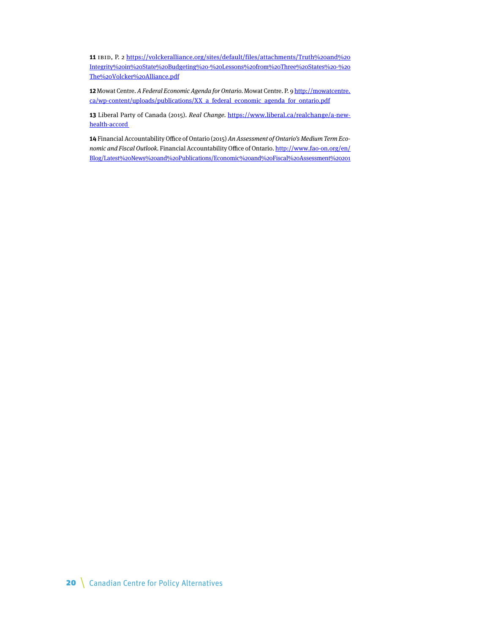**11** IBID, P. 2 [https://volckeralliance.org/sites/default/files/attachments/Truth%20and%20](https://volckeralliance.org/sites/default/files/attachments/Truth%20and%20Integrity%20in%20State%20Budgeting%20-%20Lessons%20from%20Three%20States%20-%20The%20Volcker%20Alliance.pdf) [Integrity%20in%20State%20Budgeting%20-%20Lessons%20from%20Three%20States%20-%20](https://volckeralliance.org/sites/default/files/attachments/Truth%20and%20Integrity%20in%20State%20Budgeting%20-%20Lessons%20from%20Three%20States%20-%20The%20Volcker%20Alliance.pdf) [The%20Volcker%20Alliance.pdf](https://volckeralliance.org/sites/default/files/attachments/Truth%20and%20Integrity%20in%20State%20Budgeting%20-%20Lessons%20from%20Three%20States%20-%20The%20Volcker%20Alliance.pdf)

**12** Mowat Centre. A Federal Economic Agenda for Ontario. Mowat Centre. P. 9 [http://mowatcentre.](http://mowatcentre.ca/wp-content/uploads/publications/XX_a_federal_economic_agenda_for_ontario.pdf) [ca/wp-content/uploads/publications/XX\\_a\\_federal\\_economic\\_agenda\\_for\\_ontario.pdf](http://mowatcentre.ca/wp-content/uploads/publications/XX_a_federal_economic_agenda_for_ontario.pdf)

13 Liberal Party of Canada (2015). Real Change. [https://www.liberal.ca/realchange/a-new](https://www.liberal.ca/realchange/a-new-health-accord)[health-accord](https://www.liberal.ca/realchange/a-new-health-accord) 

**14** Financial Accountability Office of Ontario (2015) An Assessment of Ontario's Medium Term Economic and Fiscal Outlook. Financial Accountability Office of Ontario. [http://www.fao-on.org/en/](http://www.fao-on.org/en/Blog/Latest%20News%20and%20Publications/Economic%20and%20Fiscal%20Assessment%202015) [Blog/Latest%20News%20and%20Publications/Economic%20and%20Fiscal%20Assessment%20201](http://www.fao-on.org/en/Blog/Latest%20News%20and%20Publications/Economic%20and%20Fiscal%20Assessment%202015)